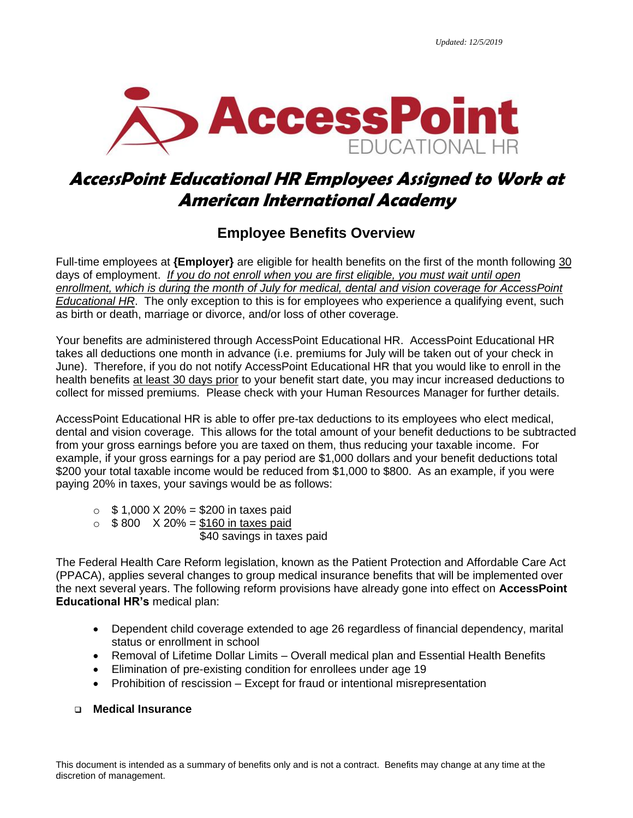

# **AccessPoint Educational HR Employees Assigned to Work at American International Academy**

# **Employee Benefits Overview**

Full-time employees at **{Employer}** are eligible for health benefits on the first of the month following 30 days of employment. *If you do not enroll when you are first eligible, you must wait until open enrollment, which is during the month of July for medical, dental and vision coverage for AccessPoint Educational HR*. The only exception to this is for employees who experience a qualifying event, such as birth or death, marriage or divorce, and/or loss of other coverage.

Your benefits are administered through AccessPoint Educational HR. AccessPoint Educational HR takes all deductions one month in advance (i.e. premiums for July will be taken out of your check in June). Therefore, if you do not notify AccessPoint Educational HR that you would like to enroll in the health benefits at least 30 days prior to your benefit start date, you may incur increased deductions to collect for missed premiums. Please check with your Human Resources Manager for further details.

AccessPoint Educational HR is able to offer pre-tax deductions to its employees who elect medical, dental and vision coverage. This allows for the total amount of your benefit deductions to be subtracted from your gross earnings before you are taxed on them, thus reducing your taxable income. For example, if your gross earnings for a pay period are \$1,000 dollars and your benefit deductions total \$200 your total taxable income would be reduced from \$1,000 to \$800. As an example, if you were paying 20% in taxes, your savings would be as follows:

- $\circ$  \$ 1,000 X 20% = \$200 in taxes paid
- $\circ$  \$800 X 20% = \$160 in taxes paid

\$40 savings in taxes paid

The Federal Health Care Reform legislation, known as the Patient Protection and Affordable Care Act (PPACA), applies several changes to group medical insurance benefits that will be implemented over the next several years. The following reform provisions have already gone into effect on **AccessPoint Educational HR's** medical plan:

- Dependent child coverage extended to age 26 regardless of financial dependency, marital status or enrollment in school
- Removal of Lifetime Dollar Limits Overall medical plan and Essential Health Benefits
- Elimination of pre-existing condition for enrollees under age 19
- Prohibition of rescission Except for fraud or intentional misrepresentation

# ❑ **Medical Insurance**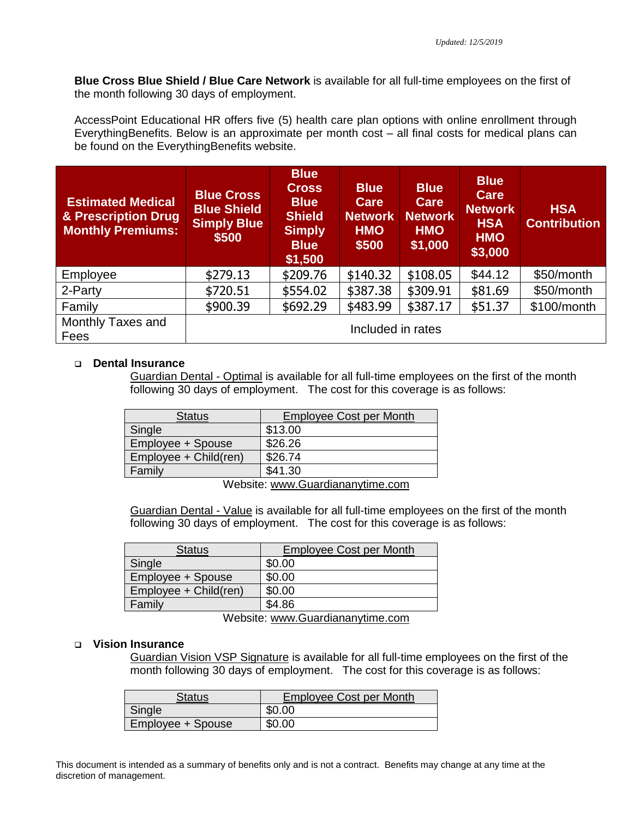**Blue Cross Blue Shield / Blue Care Network** is available for all full-time employees on the first of the month following 30 days of employment.

AccessPoint Educational HR offers five (5) health care plan options with online enrollment through EverythingBenefits. Below is an approximate per month cost – all final costs for medical plans can be found on the EverythingBenefits website.

| <b>Estimated Medical</b><br>& Prescription Drug<br><b>Monthly Premiums:</b> | <b>Blue Cross</b><br><b>Blue Shield</b><br><b>Simply Blue</b><br>\$500 | <b>Blue</b><br><b>Cross</b><br><b>Blue</b><br><b>Shield</b><br><b>Simply</b><br><b>Blue</b><br>\$1,500 | <b>Blue</b><br>Care<br><b>Network</b><br><b>HMO</b><br>\$500 | <b>Blue</b><br><b>Care</b><br><b>Network</b><br><b>HMO</b><br>\$1,000 | <b>Blue</b><br><b>Care</b><br><b>Network</b><br><b>HSA</b><br><b>HMO</b><br>\$3,000 | <b>HSA</b><br><b>Contribution</b> |
|-----------------------------------------------------------------------------|------------------------------------------------------------------------|--------------------------------------------------------------------------------------------------------|--------------------------------------------------------------|-----------------------------------------------------------------------|-------------------------------------------------------------------------------------|-----------------------------------|
| Employee                                                                    | \$279.13                                                               | \$209.76                                                                                               | \$140.32                                                     | \$108.05                                                              | \$44.12                                                                             | \$50/month                        |
| 2-Party                                                                     | \$720.51                                                               | \$554.02                                                                                               | \$387.38                                                     | \$309.91                                                              | \$81.69                                                                             | \$50/month                        |
| Family                                                                      | \$900.39                                                               | \$692.29                                                                                               | \$483.99                                                     | \$387.17                                                              | \$51.37                                                                             | \$100/month                       |
| Monthly Taxes and<br>Fees                                                   | Included in rates                                                      |                                                                                                        |                                                              |                                                                       |                                                                                     |                                   |

### ❑ **Dental Insurance**

Guardian Dental - Optimal is available for all full-time employees on the first of the month following 30 days of employment. The cost for this coverage is as follows:

| <b>Status</b>         | <b>Employee Cost per Month</b> |  |
|-----------------------|--------------------------------|--|
| Single                | \$13.00                        |  |
| Employee + Spouse     | \$26.26                        |  |
| Employee + Child(ren) | \$26.74                        |  |
| Family                | \$41.30                        |  |
|                       |                                |  |

Website: [www.Guardiananytime.com](http://www.guardiananytime.com/)

Guardian Dental - Value is available for all full-time employees on the first of the month following 30 days of employment. The cost for this coverage is as follows:

| <b>Status</b>         | <b>Employee Cost per Month</b> |
|-----------------------|--------------------------------|
| Single                | \$0.00                         |
| Employee + Spouse     | \$0.00                         |
| Employee + Child(ren) | \$0.00                         |
| Family                | \$4.86                         |
| .                     | . .<br>. .                     |

Website: [www.Guardiananytime.com](http://www.guardiananytime.com/)

#### ❑ **Vision Insurance**

Guardian Vision VSP Signature is available for all full-time employees on the first of the month following 30 days of employment. The cost for this coverage is as follows:

| Status            | <b>Employee Cost per Month</b> |  |  |
|-------------------|--------------------------------|--|--|
| Single            | \$0.00                         |  |  |
| Employee + Spouse | \$0.00                         |  |  |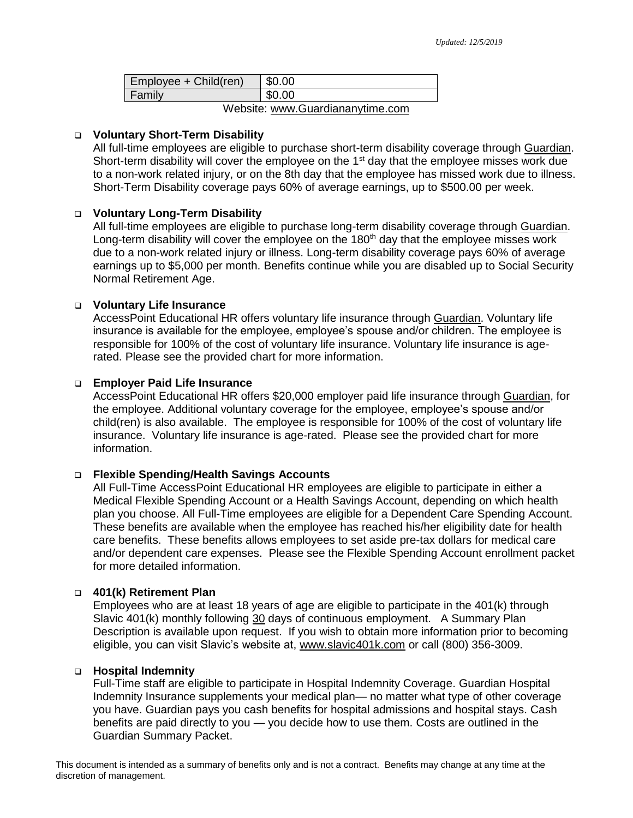| Employee + Child(ren) | \$0.00 |
|-----------------------|--------|
| Family                | \$0.00 |
| .                     |        |

Website: [www.Guardiananytime.com](http://www.guardiananytime.com/)

### ❑ **Voluntary Short-Term Disability**

All full-time employees are eligible to purchase short-term disability coverage through Guardian. Short-term disability will cover the employee on the  $1<sup>st</sup>$  day that the employee misses work due to a non-work related injury, or on the 8th day that the employee has missed work due to illness. Short-Term Disability coverage pays 60% of average earnings, up to \$500.00 per week.

# ❑ **Voluntary Long-Term Disability**

All full-time employees are eligible to purchase long-term disability coverage through Guardian. Long-term disability will cover the employee on the  $180<sup>th</sup>$  day that the employee misses work due to a non-work related injury or illness. Long-term disability coverage pays 60% of average earnings up to \$5,000 per month. Benefits continue while you are disabled up to Social Security Normal Retirement Age.

# ❑ **Voluntary Life Insurance**

AccessPoint Educational HR offers voluntary life insurance through Guardian. Voluntary life insurance is available for the employee, employee's spouse and/or children. The employee is responsible for 100% of the cost of voluntary life insurance. Voluntary life insurance is agerated. Please see the provided chart for more information.

# ❑ **Employer Paid Life Insurance**

AccessPoint Educational HR offers \$20,000 employer paid life insurance through Guardian, for the employee. Additional voluntary coverage for the employee, employee's spouse and/or child(ren) is also available. The employee is responsible for 100% of the cost of voluntary life insurance. Voluntary life insurance is age-rated. Please see the provided chart for more information.

#### ❑ **Flexible Spending/Health Savings Accounts**

All Full-Time AccessPoint Educational HR employees are eligible to participate in either a Medical Flexible Spending Account or a Health Savings Account, depending on which health plan you choose. All Full-Time employees are eligible for a Dependent Care Spending Account. These benefits are available when the employee has reached his/her eligibility date for health care benefits. These benefits allows employees to set aside pre-tax dollars for medical care and/or dependent care expenses. Please see the Flexible Spending Account enrollment packet for more detailed information.

#### ❑ **401(k) Retirement Plan**

Employees who are at least 18 years of age are eligible to participate in the 401(k) through Slavic 401(k) monthly following 30 days of continuous employment. A Summary Plan Description is available upon request. If you wish to obtain more information prior to becoming eligible, you can visit Slavic's website at, [www.slavic401k.com](http://www.slavic401k.com/) or call (800) 356-3009.

#### ❑ **Hospital Indemnity**

Full-Time staff are eligible to participate in Hospital Indemnity Coverage. Guardian Hospital Indemnity Insurance supplements your medical plan— no matter what type of other coverage you have. Guardian pays you cash benefits for hospital admissions and hospital stays. Cash benefits are paid directly to you — you decide how to use them. Costs are outlined in the Guardian Summary Packet.

This document is intended as a summary of benefits only and is not a contract. Benefits may change at any time at the discretion of management.